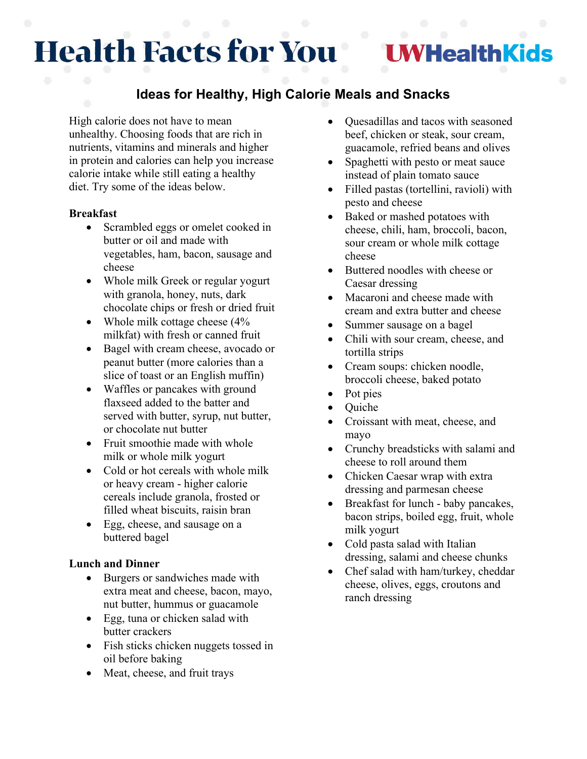# **Health Facts for You**

## **NHealthKids**

### **Ideas for Healthy, High Calorie Meals and Snacks**

High calorie does not have to mean unhealthy. Choosing foods that are rich in nutrients, vitamins and minerals and higher in protein and calories can help you increase calorie intake while still eating a healthy diet. Try some of the ideas below.

#### **Breakfast**

- Scrambled eggs or omelet cooked in butter or oil and made with vegetables, ham, bacon, sausage and cheese
- Whole milk Greek or regular yogurt with granola, honey, nuts, dark chocolate chips or fresh or dried fruit
- Whole milk cottage cheese (4% milkfat) with fresh or canned fruit
- Bagel with cream cheese, avocado or peanut butter (more calories than a slice of toast or an English muffin)
- Waffles or pancakes with ground flaxseed added to the batter and served with butter, syrup, nut butter, or chocolate nut butter
- Fruit smoothie made with whole milk or whole milk yogurt
- Cold or hot cereals with whole milk or heavy cream - higher calorie cereals include granola, frosted or filled wheat biscuits, raisin bran
- Egg, cheese, and sausage on a buttered bagel

#### **Lunch and Dinner**

- Burgers or sandwiches made with extra meat and cheese, bacon, mayo, nut butter, hummus or guacamole
- Egg, tuna or chicken salad with butter crackers
- Fish sticks chicken nuggets tossed in oil before baking
- Meat, cheese, and fruit trays
- Quesadillas and tacos with seasoned beef, chicken or steak, sour cream, guacamole, refried beans and olives
- Spaghetti with pesto or meat sauce instead of plain tomato sauce
- Filled pastas (tortellini, ravioli) with pesto and cheese
- Baked or mashed potatoes with cheese, chili, ham, broccoli, bacon, sour cream or whole milk cottage cheese
- Buttered noodles with cheese or Caesar dressing
- Macaroni and cheese made with cream and extra butter and cheese
- Summer sausage on a bagel
- Chili with sour cream, cheese, and tortilla strips
- Cream soups: chicken noodle, broccoli cheese, baked potato
- Pot pies
- Quiche
- Croissant with meat, cheese, and mayo
- Crunchy breadsticks with salami and cheese to roll around them
- Chicken Caesar wrap with extra dressing and parmesan cheese
- Breakfast for lunch baby pancakes, bacon strips, boiled egg, fruit, whole milk yogurt
- Cold pasta salad with Italian dressing, salami and cheese chunks
- Chef salad with ham/turkey, cheddar cheese, olives, eggs, croutons and ranch dressing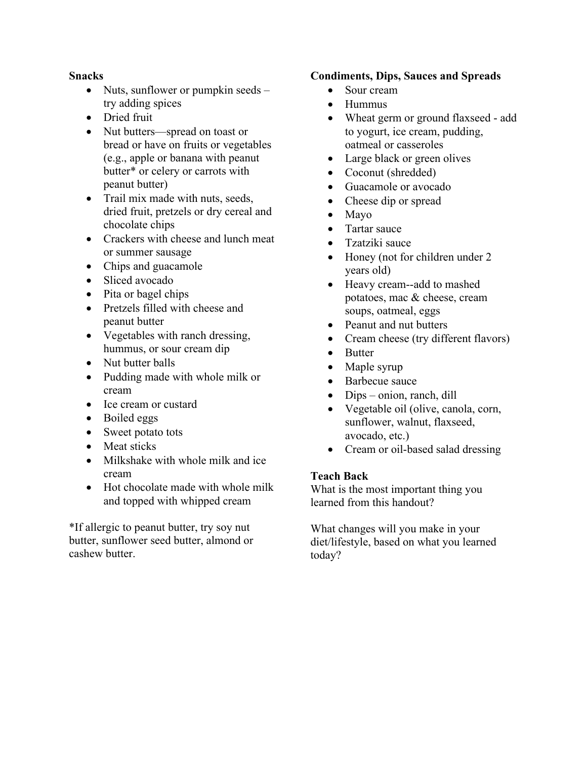#### **Snacks**

- Nuts, sunflower or pumpkin seeds try adding spices
- Dried fruit
- Nut butters—spread on toast or bread or have on fruits or vegetables (e.g., apple or banana with peanut butter\* or celery or carrots with peanut butter)
- Trail mix made with nuts, seeds, dried fruit, pretzels or dry cereal and chocolate chips
- Crackers with cheese and lunch meat or summer sausage
- Chips and guacamole
- Sliced avocado
- Pita or bagel chips
- Pretzels filled with cheese and peanut butter
- Vegetables with ranch dressing, hummus, or sour cream dip
- Nut butter balls
- Pudding made with whole milk or cream
- Ice cream or custard
- Boiled eggs
- Sweet potato tots
- Meat sticks
- Milkshake with whole milk and ice cream
- Hot chocolate made with whole milk and topped with whipped cream

\*If allergic to peanut butter, try soy nut butter, sunflower seed butter, almond or cashew butter.

#### **Condiments, Dips, Sauces and Spreads**

- Sour cream
- Hummus
- Wheat germ or ground flaxseed add to yogurt, ice cream, pudding, oatmeal or casseroles
- Large black or green olives
- Coconut (shredded)
- Guacamole or avocado
- Cheese dip or spread
- Mayo
- Tartar sauce
- Tzatziki sauce
- Honey (not for children under 2 years old)
- Heavy cream--add to mashed potatoes, mac & cheese, cream soups, oatmeal, eggs
- Peanut and nut butters
- Cream cheese (try different flavors)
- Butter
- Maple syrup
- Barbecue sauce
- Dips onion, ranch, dill
- Vegetable oil (olive, canola, corn, sunflower, walnut, flaxseed, avocado, etc.)
- Cream or oil-based salad dressing

#### **Teach Back**

What is the most important thing you learned from this handout?

What changes will you make in your diet/lifestyle, based on what you learned today?